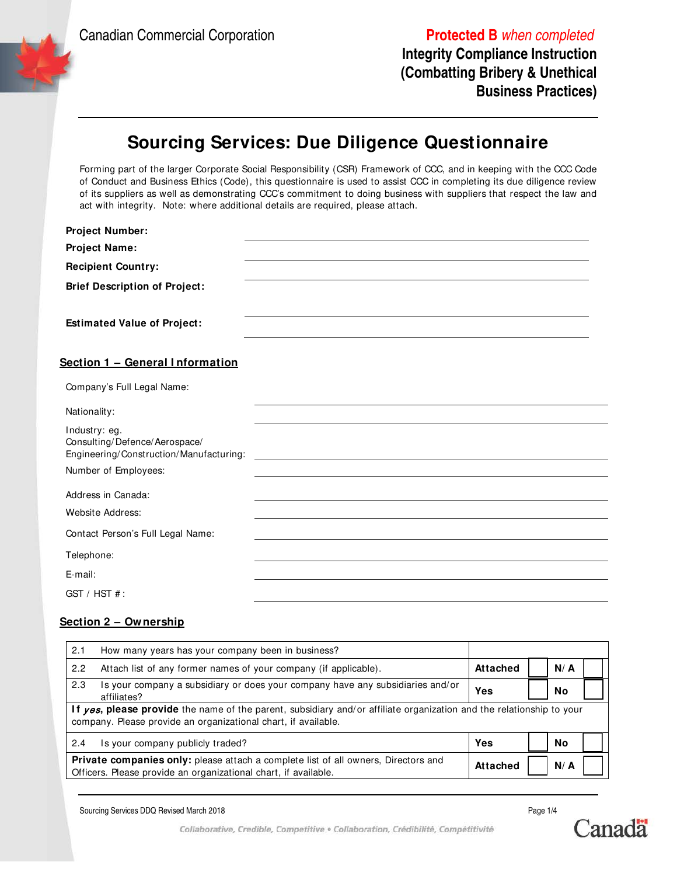Canadian Commercial Corporation **Protected B** when completed

**Integrity Compliance Instruction (Combatting Bribery & Unethical Business Practices)**

## **Sourcing Services: Due Diligence Questionnaire**

Forming part of the larger Corporate Social Responsibility (CSR) Framework of CCC, and in keeping with the CCC Code of Conduct and Business Ethics (Code), this questionnaire is used to assist CCC in completing its due diligence review of its suppliers as well as demonstrating CCC's commitment to doing business with suppliers that respect the law and act with integrity. Note: where additional details are required, please attach.

| <b>Project Number:</b>                                                                    |  |
|-------------------------------------------------------------------------------------------|--|
| <b>Project Name:</b>                                                                      |  |
| <b>Recipient Country:</b>                                                                 |  |
| <b>Brief Description of Project:</b>                                                      |  |
| <b>Estimated Value of Project:</b>                                                        |  |
| Section 1 - General Information                                                           |  |
| Company's Full Legal Name:                                                                |  |
| Nationality:                                                                              |  |
| Industry: eg.<br>Consulting/Defence/Aerospace/<br>Engineering/Construction/Manufacturing: |  |
| Number of Employees:                                                                      |  |
| Address in Canada:                                                                        |  |
| Website Address:                                                                          |  |
| Contact Person's Full Legal Name:                                                         |  |
| Telephone:                                                                                |  |
| E-mail:                                                                                   |  |
| GST / HST #:                                                                              |  |

#### **Section 2 – Ownership**

| 2.1                                                                                                                                                                                    | How many years has your company been in business?                                             |          |        |  |  |
|----------------------------------------------------------------------------------------------------------------------------------------------------------------------------------------|-----------------------------------------------------------------------------------------------|----------|--------|--|--|
| 2.2                                                                                                                                                                                    | Attach list of any former names of your company (if applicable).                              | Attached | N/A    |  |  |
| 2.3                                                                                                                                                                                    | Is your company a subsidiary or does your company have any subsidiaries and/or<br>affiliates? | Yes      | No     |  |  |
| If yes, please provide the name of the parent, subsidiary and/or affiliate organization and the relationship to your<br>company. Please provide an organizational chart, if available. |                                                                                               |          |        |  |  |
| 2.4                                                                                                                                                                                    | Is your company publicly traded?                                                              | Yes      | No     |  |  |
| <b>Private companies only:</b> please attach a complete list of all owners, Directors and<br>Officers. Please provide an organizational chart, if available.                           |                                                                                               |          | $N/$ A |  |  |

Sourcing Services DDQ Revised March 2018 **Page 1/4** and the state of the state of the state of the Page 1/4



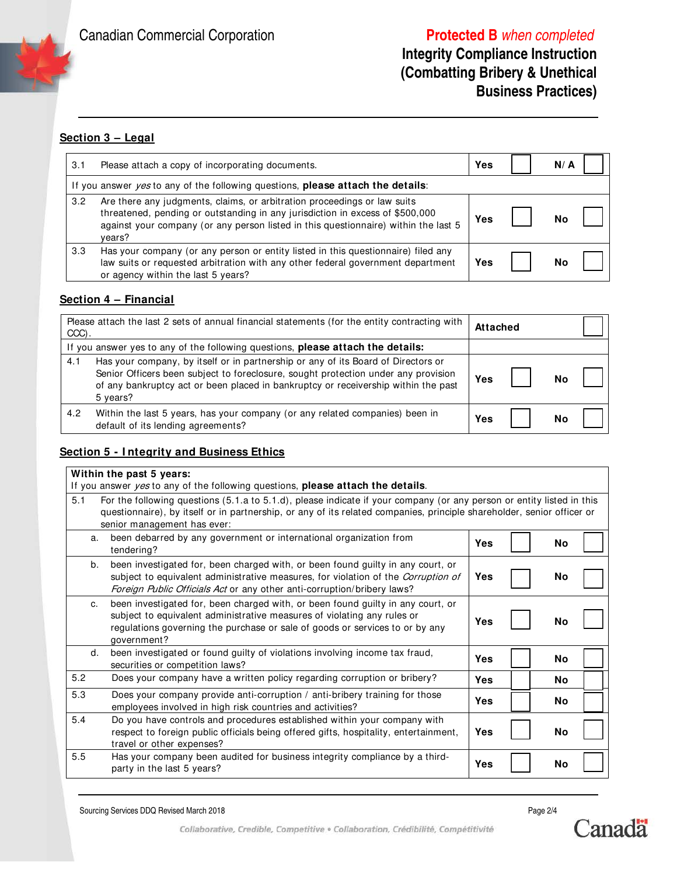Canadian Commercial Corporation **Protected B** when completed

### **Integrity Compliance Instruction (Combatting Bribery & Unethical Business Practices)**

### **Section 3 – Legal**

| 3.1 | Please attach a copy of incorporating documents.                                                                                                                                                                                                           | Yes | N/ A |
|-----|------------------------------------------------------------------------------------------------------------------------------------------------------------------------------------------------------------------------------------------------------------|-----|------|
|     | If you answer $yes$ to any of the following questions, please attach the details:                                                                                                                                                                          |     |      |
| 3.2 | Are there any judgments, claims, or arbitration proceedings or law suits<br>threatened, pending or outstanding in any jurisdiction in excess of \$500,000<br>against your company (or any person listed in this questionnaire) within the last 5<br>vears? | Yes | No   |
| 3.3 | Has your company (or any person or entity listed in this questionnaire) filed any<br>law suits or requested arbitration with any other federal government department<br>or agency within the last 5 years?                                                 | Yes | No   |

#### **Section 4 – Financial**

| Please attach the last 2 sets of annual financial statements (for the entity contracting with<br>CCC).                                                                                                                                                                           | <b>Attached</b> |
|----------------------------------------------------------------------------------------------------------------------------------------------------------------------------------------------------------------------------------------------------------------------------------|-----------------|
| If you answer yes to any of the following questions, please attach the details:                                                                                                                                                                                                  |                 |
| Has your company, by itself or in partnership or any of its Board of Directors or<br>4.1<br>Senior Officers been subject to foreclosure, sought protection under any provision<br>of any bankruptcy act or been placed in bankruptcy or receivership within the past<br>5 years? | Yes<br>No       |
| 4.2<br>Within the last 5 years, has your company (or any related companies) been in<br>default of its lending agreements?                                                                                                                                                        | Yes             |

#### **Section 5 - I ntegrity and Business Ethics**

#### **Within the past 5 years:** If you answer yes to any of the following questions, **please attach the details**. 5.1 For the following questions (5.1.a to 5.1.d), please indicate if your company (or any person or entity listed in this questionnaire), by itself or in partnership, or any of its related companies, principle shareholder, senior officer or senior management has ever: a. been debarred by any government or international organization from tendering? **Yes No** b. been investigated for, been charged with, or been found guilty in any court, or subject to equivalent administrative measures, for violation of the Corruption of Foreign Public Officials Act or any other anti-corruption/bribery laws? **Yes No** c. been investigated for, been charged with, or been found guilty in any court, or subject to equivalent administrative measures of violating any rules or regulations governing the purchase or sale of goods or services to or by any government? **Yes No** d. been investigated or found guilty of violations involving income tax fraud, securities or competition laws? **Yes No** 5.2 Does your company have a written policy regarding corruption or bribery? **Yes No** 5.3 Does your company provide anti-corruption / anti-bribery training for those employees involved in high risk countries and activities? **Yes No** 5.4 Do you have controls and procedures established within your company with respect to foreign public officials being offered gifts, hospitality, entertainment, travel or other expenses? **Yes No** 5.5 Has your company been audited for business integrity compliance by a thirdparty in the last 5 years? **Yes No**

Sourcing Services DDQ Revised March 2018 **Page 2/4 Page 2/4 Page 2/4 Page 2/4** 



Collaborative, Credible, Competitive · Collaboration, Crédibilité, Compétitivité

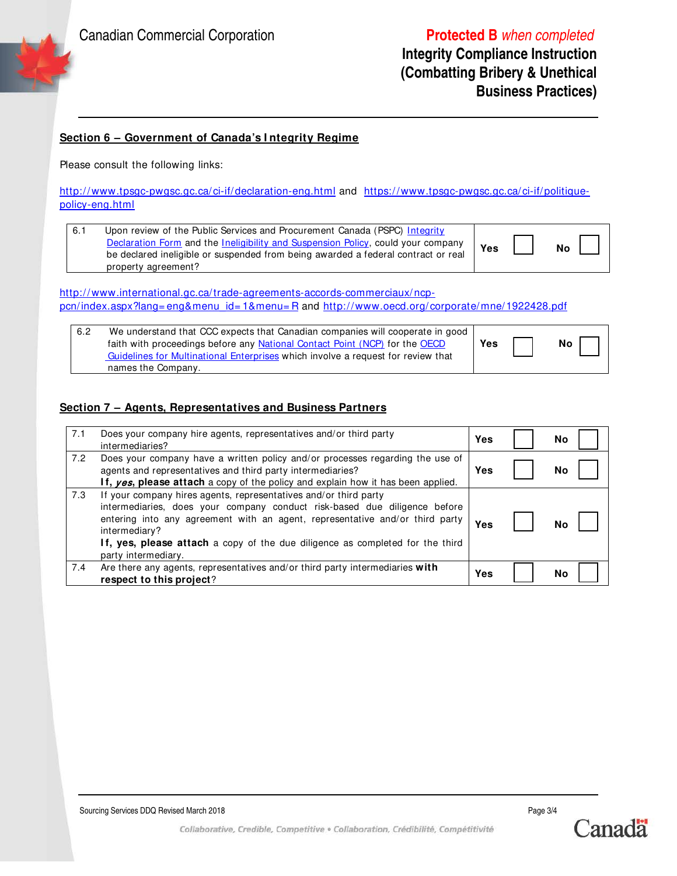### **Integrity Compliance Instruction (Combatting Bribery & Unethical Business Practices)**

#### **Section 6 – Government of Canada's I ntegrity Regime**

Please consult the following links:

http://www.tpsgc-pwgsc.gc.ca/ci-if/declaration-eng.html and https://www.tpsgc-pwgsc.gc.ca/ci-if/politiquepolicy-eng.html

| 6.1 | Upon review of the Public Services and Procurement Canada (PSPC) Integrity        |     |           |
|-----|-----------------------------------------------------------------------------------|-----|-----------|
|     | Declaration Form and the Ineligibility and Suspension Policy, could your company  | Yes | <b>No</b> |
|     | be declared ineligible or suspended from being awarded a federal contract or real |     |           |
|     | property agreement?                                                               |     |           |

http://www.international.gc.ca/trade-agreements-accords-commerciaux/ncppcn/index.aspx?lang= eng&menu\_id= 1&menu= R and http://www.oecd.org/ corporate/mne/1922428.pdf

| 6.2 | We understand that CCC expects that Canadian companies will cooperate in good<br>faith with proceedings before any National Contact Point (NCP) for the OECD | Yes | No |
|-----|--------------------------------------------------------------------------------------------------------------------------------------------------------------|-----|----|
|     | Guidelines for Multinational Enterprises which involve a request for review that                                                                             |     |    |
|     | names the Company.                                                                                                                                           |     |    |

#### **Section 7 – Agents, Representatives and Business Partners**

| 7.1 | Does your company hire agents, representatives and/or third party<br>intermediaries?                                                                                                                                                                                                                                                                   | Yes | Nο        |
|-----|--------------------------------------------------------------------------------------------------------------------------------------------------------------------------------------------------------------------------------------------------------------------------------------------------------------------------------------------------------|-----|-----------|
| 7.2 | Does your company have a written policy and/or processes regarding the use of<br>agents and representatives and third party intermediaries?<br>If, yes, please attach a copy of the policy and explain how it has been applied.                                                                                                                        | Yes | No        |
| 7.3 | If your company hires agents, representatives and/or third party<br>intermediaries, does your company conduct risk-based due diligence before<br>entering into any agreement with an agent, representative and/or third party<br>intermediary?<br>If, yes, please attach a copy of the due diligence as completed for the third<br>party intermediary. | Yes | <b>No</b> |
| 7.4 | Are there any agents, representatives and/or third party intermediaries with<br>respect to this project?                                                                                                                                                                                                                                               | Yes | No        |



Collaborative, Credible, Competitive · Collaboration, Crédibilité, Compétitivité